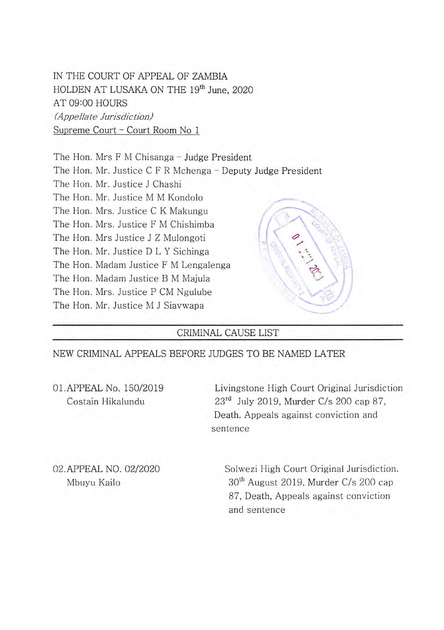IN THE COURT OF APPEAL OF ZAMBIA HOLDEN AT LUSAKA ON THE **19th** June, 2020 AT 09:00 HOURS (Appellate Jurisdiction) Supreme Court - Court Room No 1

The Hon. Mrs F M Chisanga - Judge President The Hon. Mr. Justice C F R Mchenga - Deputy Judge President The Hon. Mr. Justice J Chashi The Hon. Mr. Justice M M Kondolo The Hon. Mrs. Justice F M Chishimba The Hon. Mrs Justice J Z Mulongoti The Hon. Mr. Justice D L Y Sichinga The Hon. Madam Justice F M Lengalenga The Hon. Madam Justice B M Majula The Hon. Mrs. Justice P CM Ngulube The Hon. Mr. Justice M J Siavwapa The Hon. Mrs. Justice C K Makungu  $\mathcal{N}$  :  $\left(\begin{array}{c} 2 \\ 3 \end{array}\right)$ 

## CRIMINAL CAUSE LIST

NEW CRIMINAL APPEALS BEFORE JUDGES TO BE NAMED LATER

01.APPEAL No. 150/2019 Livingstone High Court Original Jurisdiction Costain Hikalundu 23<sup>rd</sup> July 2019, Murder C/s 200 cap 87, Death. Appeals against conviction and sentence

02.APPEAL NO. 02/2020 Solwezi High Court Original Jurisdiction. Mbuyu Kailo **30th** August 2019, Murder C/s 200 cap 87, Death, Appeals against conviction and sentence